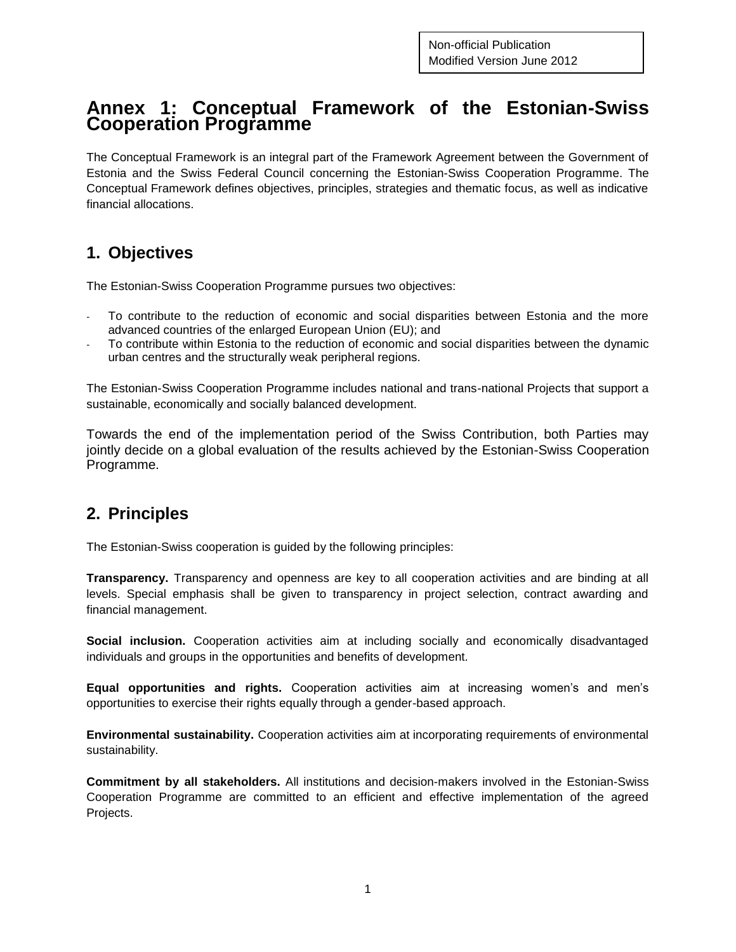# **Annex 1: Conceptual Framework of the Estonian-Swiss Cooperation Programme**

The Conceptual Framework is an integral part of the Framework Agreement between the Government of Estonia and the Swiss Federal Council concerning the Estonian-Swiss Cooperation Programme. The Conceptual Framework defines objectives, principles, strategies and thematic focus, as well as indicative financial allocations.

# **1. Objectives**

The Estonian-Swiss Cooperation Programme pursues two objectives:

- To contribute to the reduction of economic and social disparities between Estonia and the more advanced countries of the enlarged European Union (EU); and
- To contribute within Estonia to the reduction of economic and social disparities between the dynamic urban centres and the structurally weak peripheral regions.

The Estonian-Swiss Cooperation Programme includes national and trans-national Projects that support a sustainable, economically and socially balanced development.

Towards the end of the implementation period of the Swiss Contribution, both Parties may jointly decide on a global evaluation of the results achieved by the Estonian-Swiss Cooperation Programme.

#### **2. Principles**

The Estonian-Swiss cooperation is guided by the following principles:

**Transparency.** Transparency and openness are key to all cooperation activities and are binding at all levels. Special emphasis shall be given to transparency in project selection, contract awarding and financial management.

**Social inclusion.** Cooperation activities aim at including socially and economically disadvantaged individuals and groups in the opportunities and benefits of development.

**Equal opportunities and rights.** Cooperation activities aim at increasing women's and men's opportunities to exercise their rights equally through a gender-based approach.

**Environmental sustainability.** Cooperation activities aim at incorporating requirements of environmental sustainability.

**Commitment by all stakeholders.** All institutions and decision-makers involved in the Estonian-Swiss Cooperation Programme are committed to an efficient and effective implementation of the agreed Projects.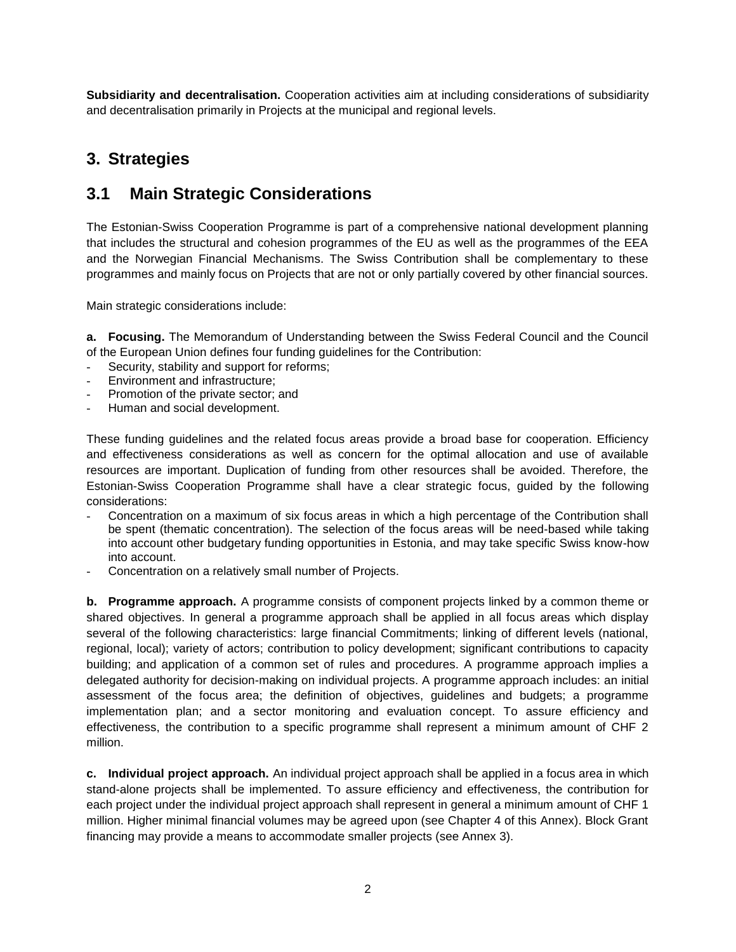**Subsidiarity and decentralisation.** Cooperation activities aim at including considerations of subsidiarity and decentralisation primarily in Projects at the municipal and regional levels.

### **3. Strategies**

### **3.1 Main Strategic Considerations**

The Estonian-Swiss Cooperation Programme is part of a comprehensive national development planning that includes the structural and cohesion programmes of the EU as well as the programmes of the EEA and the Norwegian Financial Mechanisms. The Swiss Contribution shall be complementary to these programmes and mainly focus on Projects that are not or only partially covered by other financial sources.

Main strategic considerations include:

**a. Focusing.** The Memorandum of Understanding between the Swiss Federal Council and the Council of the European Union defines four funding guidelines for the Contribution:

- Security, stability and support for reforms;
- Environment and infrastructure;
- Promotion of the private sector; and
- Human and social development.

These funding guidelines and the related focus areas provide a broad base for cooperation. Efficiency and effectiveness considerations as well as concern for the optimal allocation and use of available resources are important. Duplication of funding from other resources shall be avoided. Therefore, the Estonian-Swiss Cooperation Programme shall have a clear strategic focus, guided by the following considerations:

- Concentration on a maximum of six focus areas in which a high percentage of the Contribution shall be spent (thematic concentration). The selection of the focus areas will be need-based while taking into account other budgetary funding opportunities in Estonia, and may take specific Swiss know-how into account.
- Concentration on a relatively small number of Projects.

**b. Programme approach.** A programme consists of component projects linked by a common theme or shared objectives. In general a programme approach shall be applied in all focus areas which display several of the following characteristics: large financial Commitments; linking of different levels (national, regional, local); variety of actors; contribution to policy development; significant contributions to capacity building; and application of a common set of rules and procedures. A programme approach implies a delegated authority for decision-making on individual projects. A programme approach includes: an initial assessment of the focus area; the definition of objectives, guidelines and budgets; a programme implementation plan; and a sector monitoring and evaluation concept. To assure efficiency and effectiveness, the contribution to a specific programme shall represent a minimum amount of CHF 2 million.

**c. Individual project approach.** An individual project approach shall be applied in a focus area in which stand-alone projects shall be implemented. To assure efficiency and effectiveness, the contribution for each project under the individual project approach shall represent in general a minimum amount of CHF 1 million. Higher minimal financial volumes may be agreed upon (see Chapter 4 of this Annex). Block Grant financing may provide a means to accommodate smaller projects (see Annex 3).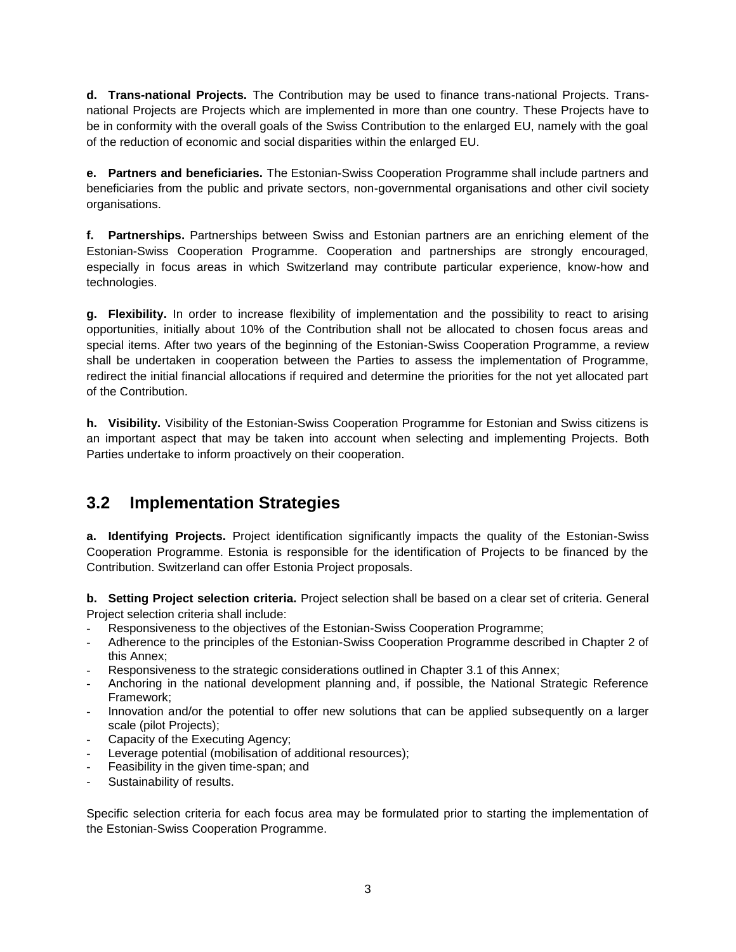**d. Trans-national Projects.** The Contribution may be used to finance trans-national Projects. Transnational Projects are Projects which are implemented in more than one country. These Projects have to be in conformity with the overall goals of the Swiss Contribution to the enlarged EU, namely with the goal of the reduction of economic and social disparities within the enlarged EU.

**e. Partners and beneficiaries.** The Estonian-Swiss Cooperation Programme shall include partners and beneficiaries from the public and private sectors, non-governmental organisations and other civil society organisations.

**f. Partnerships.** Partnerships between Swiss and Estonian partners are an enriching element of the Estonian-Swiss Cooperation Programme. Cooperation and partnerships are strongly encouraged, especially in focus areas in which Switzerland may contribute particular experience, know-how and technologies.

**g. Flexibility.** In order to increase flexibility of implementation and the possibility to react to arising opportunities, initially about 10% of the Contribution shall not be allocated to chosen focus areas and special items. After two years of the beginning of the Estonian-Swiss Cooperation Programme, a review shall be undertaken in cooperation between the Parties to assess the implementation of Programme, redirect the initial financial allocations if required and determine the priorities for the not yet allocated part of the Contribution.

**h. Visibility.** Visibility of the Estonian-Swiss Cooperation Programme for Estonian and Swiss citizens is an important aspect that may be taken into account when selecting and implementing Projects. Both Parties undertake to inform proactively on their cooperation.

#### **3.2 Implementation Strategies**

**a. Identifying Projects.** Project identification significantly impacts the quality of the Estonian-Swiss Cooperation Programme. Estonia is responsible for the identification of Projects to be financed by the Contribution. Switzerland can offer Estonia Project proposals.

**b. Setting Project selection criteria.** Project selection shall be based on a clear set of criteria. General Project selection criteria shall include:

- Responsiveness to the objectives of the Estonian-Swiss Cooperation Programme;
- Adherence to the principles of the Estonian-Swiss Cooperation Programme described in Chapter 2 of this Annex;
- Responsiveness to the strategic considerations outlined in Chapter 3.1 of this Annex;
- Anchoring in the national development planning and, if possible, the National Strategic Reference Framework;
- Innovation and/or the potential to offer new solutions that can be applied subsequently on a larger scale (pilot Projects);
- Capacity of the Executing Agency;
- Leverage potential (mobilisation of additional resources);
- Feasibility in the given time-span; and
- Sustainability of results.

Specific selection criteria for each focus area may be formulated prior to starting the implementation of the Estonian-Swiss Cooperation Programme.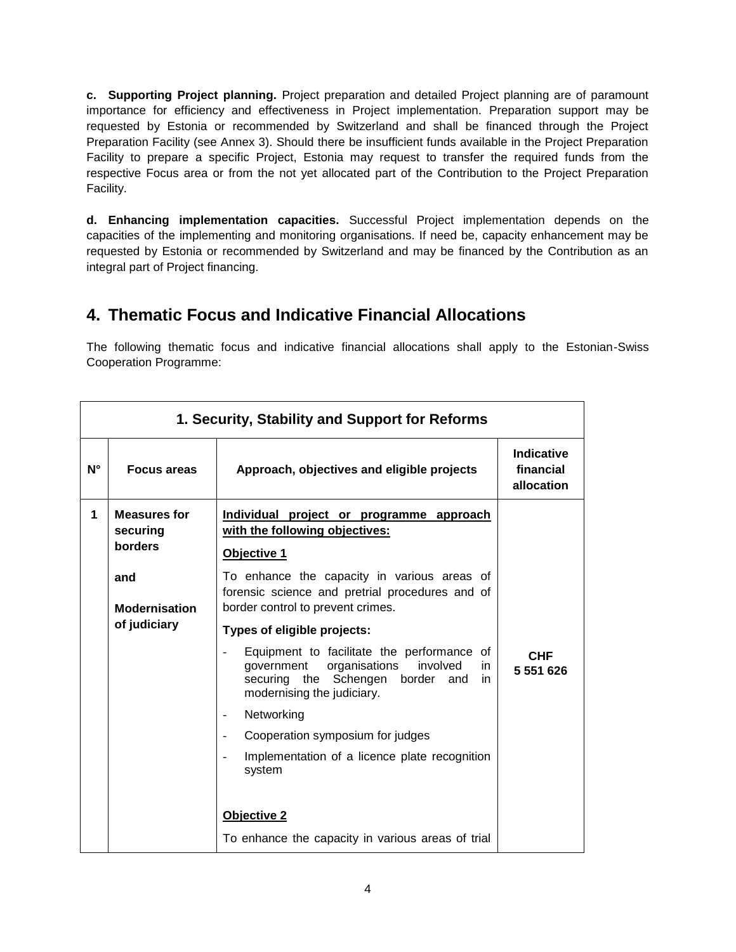**c. Supporting Project planning.** Project preparation and detailed Project planning are of paramount importance for efficiency and effectiveness in Project implementation. Preparation support may be requested by Estonia or recommended by Switzerland and shall be financed through the Project Preparation Facility (see Annex 3). Should there be insufficient funds available in the Project Preparation Facility to prepare a specific Project, Estonia may request to transfer the required funds from the respective Focus area or from the not yet allocated part of the Contribution to the Project Preparation Facility.

**d. Enhancing implementation capacities.** Successful Project implementation depends on the capacities of the implementing and monitoring organisations. If need be, capacity enhancement may be requested by Estonia or recommended by Switzerland and may be financed by the Contribution as an integral part of Project financing.

# **4. Thematic Focus and Indicative Financial Allocations**

The following thematic focus and indicative financial allocations shall apply to the Estonian-Swiss Cooperation Programme:

|    | 1. Security, Stability and Support for Reforms |                                                                                                                                                                                |                                       |  |
|----|------------------------------------------------|--------------------------------------------------------------------------------------------------------------------------------------------------------------------------------|---------------------------------------|--|
| N° | <b>Focus areas</b>                             | Approach, objectives and eligible projects                                                                                                                                     | Indicative<br>financial<br>allocation |  |
| 1  | <b>Measures for</b><br>securing<br>borders     | Individual project or programme approach<br>with the following objectives:<br>Objective 1                                                                                      |                                       |  |
|    | and<br><b>Modernisation</b>                    | To enhance the capacity in various areas of<br>forensic science and pretrial procedures and of<br>border control to prevent crimes.                                            |                                       |  |
|    | of judiciary                                   | Types of eligible projects:                                                                                                                                                    |                                       |  |
|    |                                                | Equipment to facilitate the performance of<br>organisations<br>involved<br>government<br>in.<br>securing<br>the<br>Schengen border<br>and<br>in.<br>modernising the judiciary. | <b>CHF</b><br>5 551 626               |  |
|    |                                                | Networking<br>$\overline{\phantom{0}}$                                                                                                                                         |                                       |  |
|    |                                                | Cooperation symposium for judges                                                                                                                                               |                                       |  |
|    |                                                | Implementation of a licence plate recognition<br>system                                                                                                                        |                                       |  |
|    |                                                | <b>Objective 2</b>                                                                                                                                                             |                                       |  |
|    |                                                | To enhance the capacity in various areas of trial                                                                                                                              |                                       |  |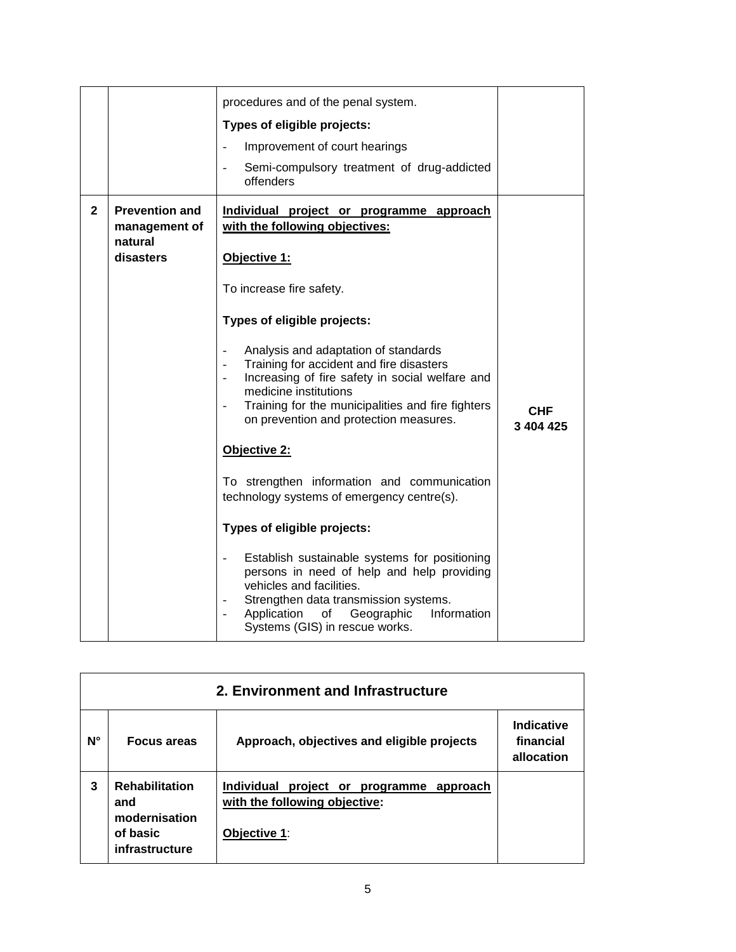|              |                                                   | procedures and of the penal system.                                                                                                                                                                                                                                                     |                  |
|--------------|---------------------------------------------------|-----------------------------------------------------------------------------------------------------------------------------------------------------------------------------------------------------------------------------------------------------------------------------------------|------------------|
|              |                                                   | Types of eligible projects:                                                                                                                                                                                                                                                             |                  |
|              |                                                   | Improvement of court hearings<br>$\overline{a}$                                                                                                                                                                                                                                         |                  |
|              |                                                   | Semi-compulsory treatment of drug-addicted<br>offenders                                                                                                                                                                                                                                 |                  |
| $\mathbf{2}$ | <b>Prevention and</b><br>management of<br>natural | Individual project or programme approach<br>with the following objectives:                                                                                                                                                                                                              |                  |
|              | disasters                                         | Objective 1:                                                                                                                                                                                                                                                                            |                  |
|              |                                                   | To increase fire safety.                                                                                                                                                                                                                                                                |                  |
|              |                                                   | Types of eligible projects:                                                                                                                                                                                                                                                             |                  |
|              |                                                   | Analysis and adaptation of standards<br>Training for accident and fire disasters<br>Increasing of fire safety in social welfare and<br>$\overline{\phantom{a}}$<br>medicine institutions<br>Training for the municipalities and fire fighters<br>on prevention and protection measures. | CHF<br>3 404 425 |
|              |                                                   | Objective 2:                                                                                                                                                                                                                                                                            |                  |
|              |                                                   | To strengthen information and communication<br>technology systems of emergency centre(s).                                                                                                                                                                                               |                  |
|              |                                                   | Types of eligible projects:                                                                                                                                                                                                                                                             |                  |
|              |                                                   | Establish sustainable systems for positioning<br>persons in need of help and help providing<br>vehicles and facilities.<br>Strengthen data transmission systems.<br>Application<br>Information<br>Geographic<br>of<br>Systems (GIS) in rescue works.                                    |                  |

| 2. Environment and Infrastructure |                                                                             |                                                                                           |                                       |
|-----------------------------------|-----------------------------------------------------------------------------|-------------------------------------------------------------------------------------------|---------------------------------------|
| N°                                | <b>Focus areas</b>                                                          | Approach, objectives and eligible projects                                                | Indicative<br>financial<br>allocation |
| 3                                 | <b>Rehabilitation</b><br>and<br>modernisation<br>of basic<br>infrastructure | Individual project or programme approach<br>with the following objective:<br>Objective 1: |                                       |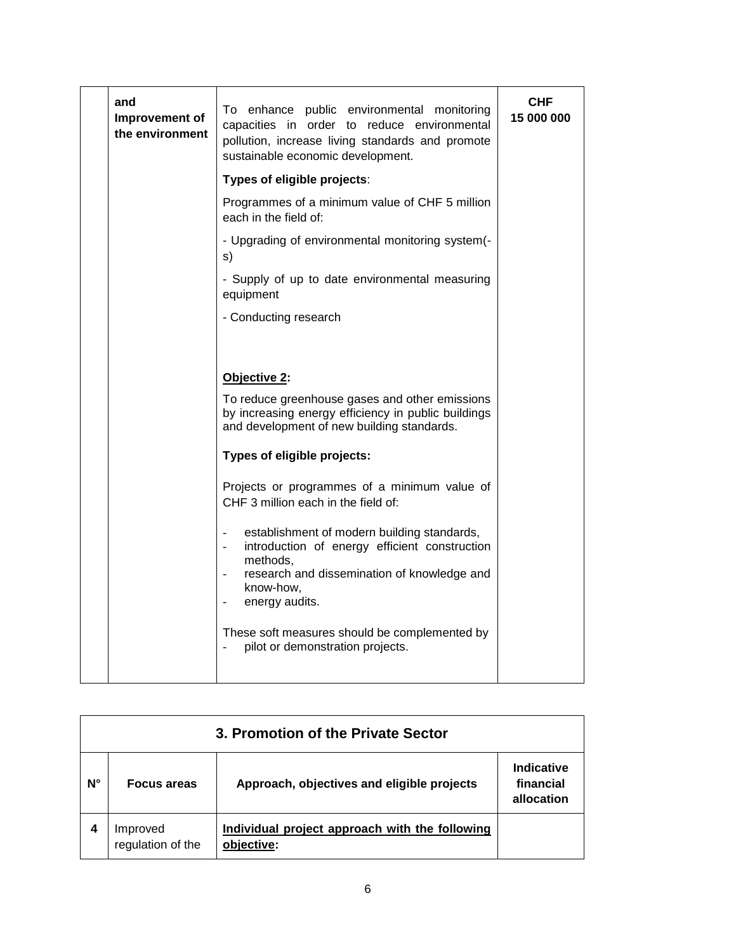| and<br>Improvement of<br>the environment | To enhance public environmental monitoring<br>capacities in order to reduce environmental<br>pollution, increase living standards and promote<br>sustainable economic development.                                               | <b>CHF</b><br>15 000 000 |
|------------------------------------------|----------------------------------------------------------------------------------------------------------------------------------------------------------------------------------------------------------------------------------|--------------------------|
|                                          | Types of eligible projects:                                                                                                                                                                                                      |                          |
|                                          | Programmes of a minimum value of CHF 5 million<br>each in the field of:                                                                                                                                                          |                          |
|                                          | - Upgrading of environmental monitoring system(-<br>s)                                                                                                                                                                           |                          |
|                                          | - Supply of up to date environmental measuring<br>equipment                                                                                                                                                                      |                          |
|                                          | - Conducting research                                                                                                                                                                                                            |                          |
|                                          |                                                                                                                                                                                                                                  |                          |
|                                          | Objective 2:                                                                                                                                                                                                                     |                          |
|                                          | To reduce greenhouse gases and other emissions<br>by increasing energy efficiency in public buildings<br>and development of new building standards.                                                                              |                          |
|                                          | Types of eligible projects:                                                                                                                                                                                                      |                          |
|                                          | Projects or programmes of a minimum value of<br>CHF 3 million each in the field of:                                                                                                                                              |                          |
|                                          | establishment of modern building standards,<br>$\blacksquare$<br>introduction of energy efficient construction<br>÷.<br>methods,<br>research and dissemination of knowledge and<br>$\overline{a}$<br>know-how,<br>energy audits. |                          |
|                                          | These soft measures should be complemented by<br>pilot or demonstration projects.                                                                                                                                                |                          |

| 3. Promotion of the Private Sector |                               |                                                              |                                       |
|------------------------------------|-------------------------------|--------------------------------------------------------------|---------------------------------------|
| N°                                 | <b>Focus areas</b>            | Approach, objectives and eligible projects                   | Indicative<br>financial<br>allocation |
|                                    | Improved<br>regulation of the | Individual project approach with the following<br>objective: |                                       |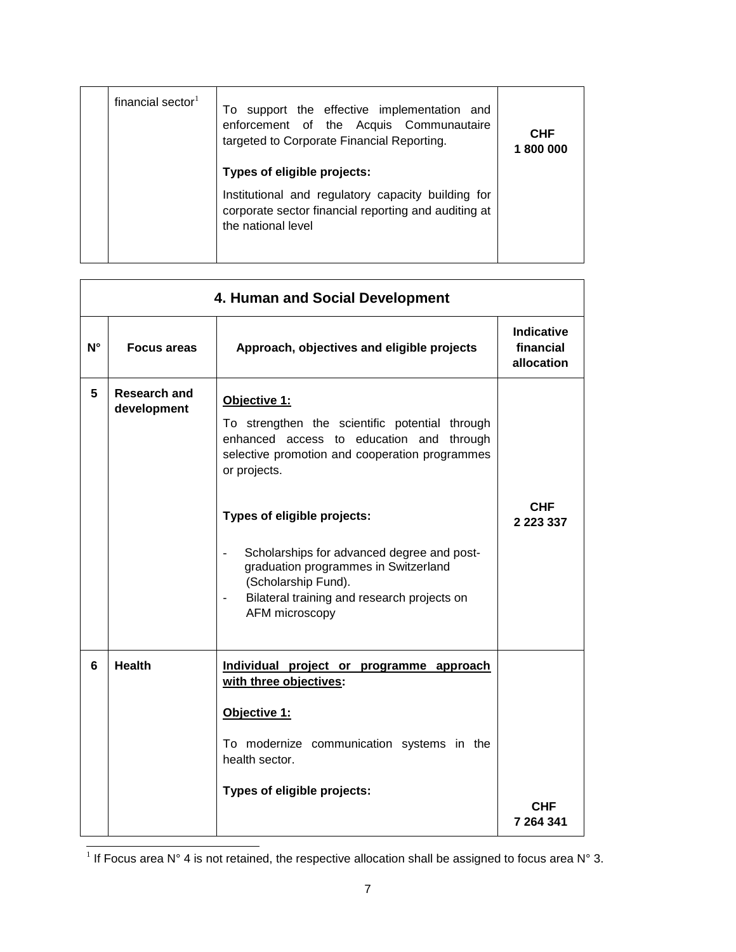| financial sector $1$ | To support the effective implementation and<br>enforcement of the Acquis Communautaire<br>targeted to Corporate Financial Reporting.<br>Types of eligible projects: | <b>CHF</b><br>1800000 |
|----------------------|---------------------------------------------------------------------------------------------------------------------------------------------------------------------|-----------------------|
|                      | Institutional and regulatory capacity building for<br>corporate sector financial reporting and auditing at<br>the national level                                    |                       |

|             | 4. Human and Social Development |                                                                                                                                                                                                                                                                                                                                                                                           |                                              |  |
|-------------|---------------------------------|-------------------------------------------------------------------------------------------------------------------------------------------------------------------------------------------------------------------------------------------------------------------------------------------------------------------------------------------------------------------------------------------|----------------------------------------------|--|
| $N^{\circ}$ | <b>Focus areas</b>              | Approach, objectives and eligible projects                                                                                                                                                                                                                                                                                                                                                | <b>Indicative</b><br>financial<br>allocation |  |
| 5           | Research and<br>development     | Objective 1:<br>To strengthen the scientific potential through<br>enhanced access to education and through<br>selective promotion and cooperation programmes<br>or projects.<br>Types of eligible projects:<br>Scholarships for advanced degree and post-<br>graduation programmes in Switzerland<br>(Scholarship Fund).<br>Bilateral training and research projects on<br>AFM microscopy | <b>CHF</b><br>2 2 2 3 3 3 7                  |  |
| 6           | <b>Health</b>                   | Individual project or programme approach<br>with three objectives:<br>Objective 1:<br>To modernize communication systems in the<br>health sector.<br>Types of eligible projects:                                                                                                                                                                                                          | CHF<br>7 264 341                             |  |

<sup>&</sup>lt;u>Les are a measure and the metained of the respective allocation shall be assigned to focus area N° 3.</u><br><sup>1</sup> If Focus area N° 4 is not retained, the respective allocation shall be assigned to focus area N° 3.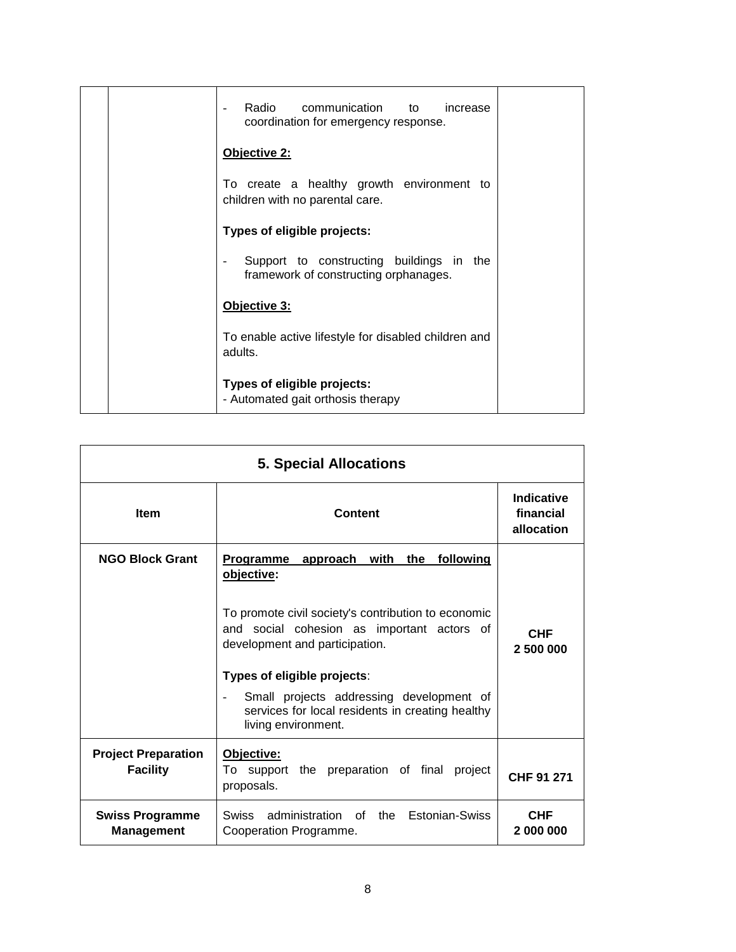|  | Radio communication to increase<br>$\overline{\phantom{a}}$<br>coordination for emergency response. |  |
|--|-----------------------------------------------------------------------------------------------------|--|
|  | Objective 2:                                                                                        |  |
|  | To create a healthy growth environment to<br>children with no parental care.                        |  |
|  | Types of eligible projects:                                                                         |  |
|  | Support to constructing buildings in the<br>framework of constructing orphanages.                   |  |
|  | Objective 3:                                                                                        |  |
|  | To enable active lifestyle for disabled children and<br>adults.                                     |  |
|  | Types of eligible projects:<br>- Automated gait orthosis therapy                                    |  |

| <b>5. Special Allocations</b>                 |                                                                                                                                                                                                                                                                                                                                              |                                       |
|-----------------------------------------------|----------------------------------------------------------------------------------------------------------------------------------------------------------------------------------------------------------------------------------------------------------------------------------------------------------------------------------------------|---------------------------------------|
| <b>Item</b>                                   | Content                                                                                                                                                                                                                                                                                                                                      | Indicative<br>financial<br>allocation |
| <b>NGO Block Grant</b>                        | <b>Programme</b><br>approach with<br>the following<br>objective:<br>To promote civil society's contribution to economic<br>and social cohesion as important actors of<br>development and participation.<br>Types of eligible projects:<br>Small projects addressing development of<br>÷,<br>services for local residents in creating healthy | <b>CHF</b><br>2 500 000               |
| <b>Project Preparation</b><br><b>Facility</b> | living environment.<br>Objective:<br>To support the preparation of final<br>project<br>proposals.                                                                                                                                                                                                                                            | CHF 91 271                            |
| <b>Swiss Programme</b><br><b>Management</b>   | administration of<br>Estonian-Swiss<br>the<br>Swiss<br>Cooperation Programme.                                                                                                                                                                                                                                                                | <b>CHF</b><br>2 000 000               |